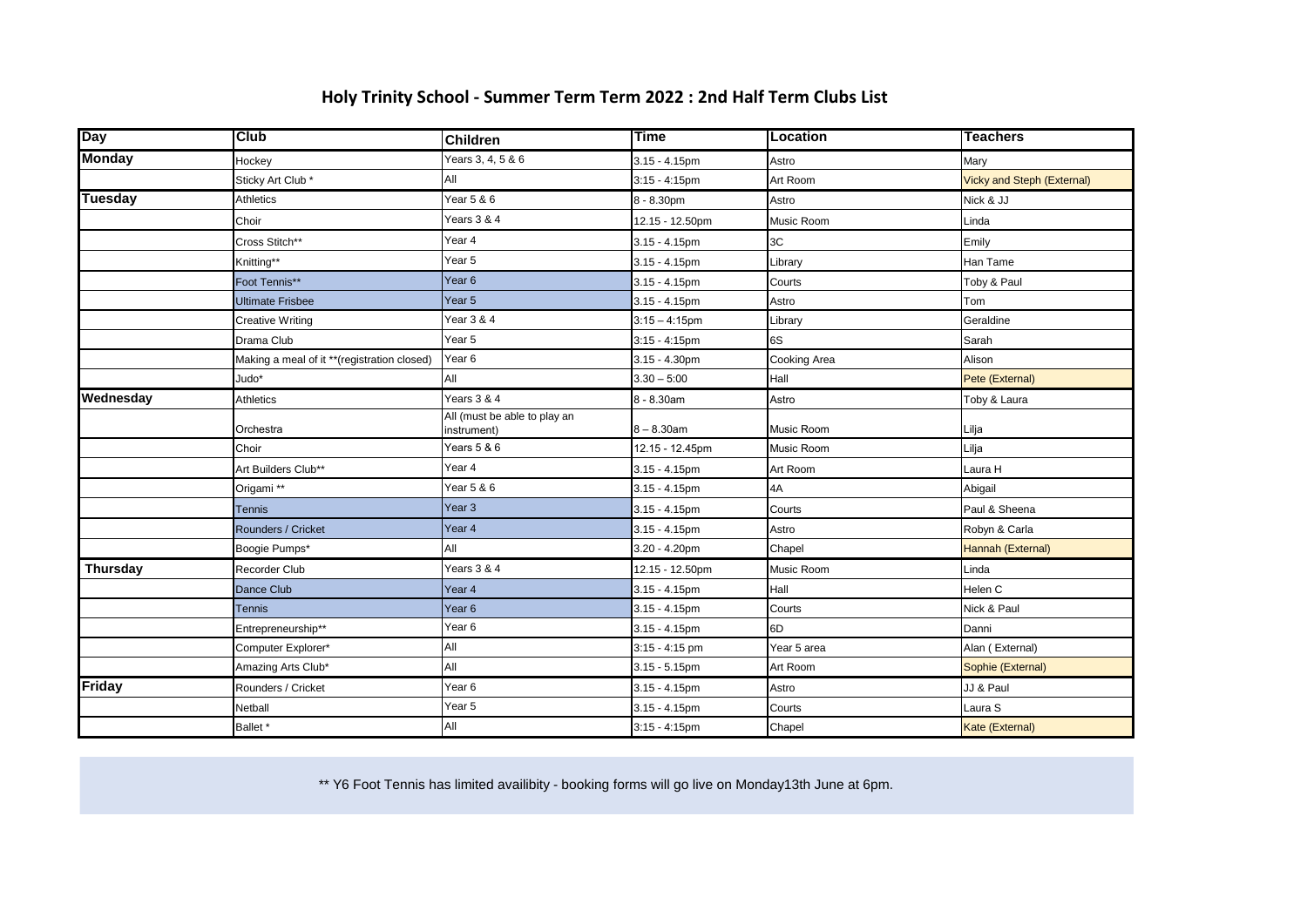## **Holy Trinity School - Summer Term Term 2022 : 2nd Half Term Clubs List**

| <b>Day</b>      | <b>Club</b>                                 | <b>Children</b>                             | <b>Time</b>      | <b>Location</b> | <b>Teachers</b>                   |
|-----------------|---------------------------------------------|---------------------------------------------|------------------|-----------------|-----------------------------------|
| <b>Monday</b>   | Hockey                                      | Years 3, 4, 5 & 6                           | $3.15 - 4.15$ pm | Astro           | Mary                              |
|                 | Sticky Art Club *                           | All                                         | $3:15 - 4:15$ pm | Art Room        | <b>Vicky and Steph (External)</b> |
| <b>Tuesday</b>  | Athletics                                   | Year 5 & 6                                  | 8 - 8.30pm       | Astro           | Nick & JJ                         |
|                 | Choir                                       | Years 3 & 4                                 | 12.15 - 12.50pm  | Music Room      | Linda                             |
|                 | Cross Stitch**                              | Year 4                                      | $3.15 - 4.15$ pm | 3C              | Emily                             |
|                 | Knitting**                                  | Year 5                                      | $3.15 - 4.15$ pm | Library         | Han Tame                          |
|                 | Foot Tennis**                               | Year <sub>6</sub>                           | $3.15 - 4.15$ pm | Courts          | Toby & Paul                       |
|                 | <b>Ultimate Frisbee</b>                     | Year 5                                      | $3.15 - 4.15$ pm | Astro           | Tom                               |
|                 | <b>Creative Writing</b>                     | Year 3 & 4                                  | $3:15 - 4:15$ pm | Library         | Geraldine                         |
|                 | Drama Club                                  | Year 5                                      | $3:15 - 4:15$ pm | 6S              | Sarah                             |
|                 | Making a meal of it **(registration closed) | Year 6                                      | $3.15 - 4.30$ pm | Cooking Area    | Alison                            |
|                 | Judo*                                       | All                                         | $3.30 - 5:00$    | Hall            | Pete (External)                   |
| Wednesday       | Athletics                                   | Years 3 & 4                                 | 8 - 8.30am       | Astro           | Toby & Laura                      |
|                 | Orchestra                                   | All (must be able to play an<br>instrument) | $8 - 8.30$ am    | Music Room      | Lilja                             |
|                 | Choir                                       | Years 5 & 6                                 | 12.15 - 12.45pm  | Music Room      | Lilja                             |
|                 | Art Builders Club**                         | Year 4                                      | $3.15 - 4.15$ pm | Art Room        | Laura H                           |
|                 | Origami **                                  | Year 5 & 6                                  | $3.15 - 4.15$ pm | 4A              | Abigail                           |
|                 | <b>Tennis</b>                               | Year <sub>3</sub>                           | 3.15 - 4.15pm    | Courts          | Paul & Sheena                     |
|                 | Rounders / Cricket                          | Year 4                                      | $3.15 - 4.15$ pm | Astro           | Robyn & Carla                     |
|                 | Boogie Pumps*                               | All                                         | $3.20 - 4.20$ pm | Chapel          | Hannah (External)                 |
| <b>Thursday</b> | Recorder Club                               | Years 3 & 4                                 | 12.15 - 12.50pm  | Music Room      | Linda                             |
|                 | Dance Club                                  | Year 4                                      | $3.15 - 4.15$ pm | Hall            | Helen C                           |
|                 | <b>Tennis</b>                               | Year <sub>6</sub>                           | $3.15 - 4.15$ pm | Courts          | Nick & Paul                       |
|                 | Entrepreneurship**                          | Year 6                                      | $3.15 - 4.15$ pm | 6D              | Danni                             |
|                 | Computer Explorer*                          | All                                         | $3:15 - 4:15$ pm | Year 5 area     | Alan (External)                   |
|                 | Amazing Arts Club*                          | All                                         | $3.15 - 5.15$ pm | Art Room        | Sophie (External)                 |
| <b>Friday</b>   | Rounders / Cricket                          | Year 6                                      | $3.15 - 4.15$ pm | Astro           | JJ & Paul                         |
|                 | Netball                                     | Year 5                                      | 3.15 - 4.15pm    | Courts          | Laura S                           |
|                 | Ballet *                                    | All                                         | $3:15 - 4:15$ pm | Chapel          | <b>Kate (External)</b>            |

\*\* Y6 Foot Tennis has limited availibity - booking forms will go live on Monday13th June at 6pm.